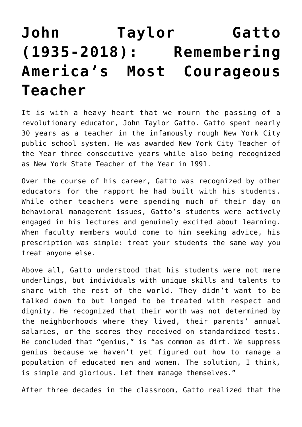# **[John Taylor Gatto](https://intellectualtakeout.org/2018/10/john-taylor-gatto-1935-2018-remembering-americas-most-courageous-teacher/) [\(1935-2018\): Remembering](https://intellectualtakeout.org/2018/10/john-taylor-gatto-1935-2018-remembering-americas-most-courageous-teacher/) [America's Most Courageous](https://intellectualtakeout.org/2018/10/john-taylor-gatto-1935-2018-remembering-americas-most-courageous-teacher/) [Teacher](https://intellectualtakeout.org/2018/10/john-taylor-gatto-1935-2018-remembering-americas-most-courageous-teacher/)**

It is with a heavy heart that we mourn the passing of a revolutionary educator, John Taylor Gatto. Gatto spent nearly 30 years as a teacher in the infamously rough New York City public school system. He was awarded New York City Teacher of the Year three consecutive years while also being recognized as New York State Teacher of the Year in 1991.

Over the course of his career, Gatto was recognized by other educators for the rapport he had built with his students. While other teachers were spending much of their day on behavioral management issues, Gatto's students were actively engaged in his lectures and genuinely excited about learning. When faculty members would come to him seeking advice, his prescription was simple: treat your students the same way you treat anyone else.

Above all, Gatto understood that his students were not mere underlings, but individuals with unique skills and talents to share with the rest of the world. They didn't want to be talked down to but longed to be treated with respect and dignity. He recognized that their worth was not determined by the neighborhoods where they lived, their parents' annual salaries, or the scores they received on standardized tests. He concluded that "genius," is "as common as dirt. We suppress genius because we haven't yet figured out how to manage a population of educated men and women. The solution, I think, is simple and glorious. Let them manage themselves."

After three decades in the classroom, Gatto realized that the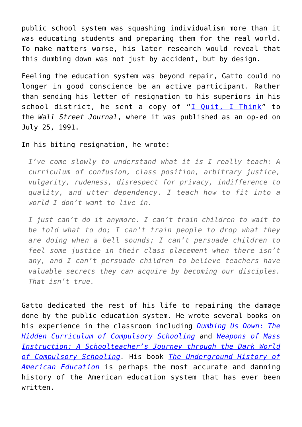public school system was squashing individualism more than it was educating students and preparing them for the real world. To make matters worse, his later research would reveal that this dumbing down was not just by accident, but by design.

Feeling the education system was beyond repair, Gatto could no longer in good conscience be an active participant. Rather than sending his letter of resignation to his superiors in his school district, he sent a copy of " $I$  Quit,  $I$  Think" to the *Wall Street Journal*, where it was published as an op-ed on July 25, 1991.

### In his biting resignation, he wrote:

*I've come slowly to understand what it is I really teach: A curriculum of confusion, class position, arbitrary justice, vulgarity, rudeness, disrespect for privacy, indifference to quality, and utter dependency. I teach how to fit into a world I don't want to live in.*

*I just can't do it anymore. I can't train children to wait to be told what to do; I can't train people to drop what they are doing when a bell sounds; I can't persuade children to feel some justice in their class placement when there isn't any, and I can't persuade children to believe teachers have valuable secrets they can acquire by becoming our disciples. That isn't true.*

Gatto dedicated the rest of his life to repairing the damage done by the public education system. He wrote several books on his experience in the classroom including *[Dumbing Us Down: The](https://amzn.to/2Q2nS4N) [Hidden Curriculum of Compulsory Schooling](https://amzn.to/2Q2nS4N)* and *[Weapons of Mass](https://amzn.to/2Obvdxf) [Instruction: A Schoolteacher's Journey through the Dark World](https://amzn.to/2Obvdxf) [of Compulsory Schooling](https://amzn.to/2Obvdxf).* His book *[The Underground History of](https://amzn.to/2OeihXk) [American Education](https://amzn.to/2OeihXk)* is perhaps the most accurate and damning history of the American education system that has ever been written.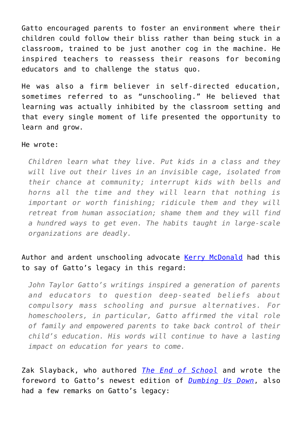Gatto encouraged parents to foster an environment where their children could follow their bliss rather than being stuck in a classroom, trained to be just another cog in the machine. He inspired teachers to reassess their reasons for becoming educators and to challenge the status quo.

He was also a firm believer in self-directed education, sometimes referred to as "unschooling." He believed that learning was actually inhibited by the classroom setting and that every single moment of life presented the opportunity to learn and grow.

#### He wrote:

*Children learn what they live. Put kids in a class and they will live out their lives in an invisible cage, isolated from their chance at community; interrupt kids with bells and horns all the time and they will learn that nothing is important or worth finishing; ridicule them and they will retreat from human association; shame them and they will find a hundred ways to get even. The habits taught in large-scale organizations are deadly.*

## Author and ardent unschooling advocate [Kerry McDonald](https://fee.org/people/kerry-mcdonald/) had this to say of Gatto's legacy in this regard:

*John Taylor Gatto's writings inspired a generation of parents and educators to question deep-seated beliefs about compulsory mass schooling and pursue alternatives. For homeschoolers, in particular, Gatto affirmed the vital role of family and empowered parents to take back control of their child's education. His words will continue to have a lasting impact on education for years to come.*

Zak Slayback, who authored *[The End of School](https://amzn.to/2JnewOE)* and wrote the foreword to Gatto's newest edition of *[Dumbing Us Down](https://amzn.to/2Q2nS4N)*, also had a few remarks on Gatto's legacy: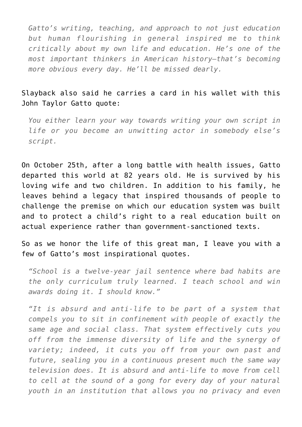*Gatto's writing, teaching, and approach to not just education but human flourishing in general inspired me to think critically about my own life and education. He's one of the most important thinkers in American history—that's becoming more obvious every day. He'll be missed dearly.*

## Slayback also said he carries a card in his wallet with this John Taylor Gatto quote:

*You either learn your way towards writing your own script in life or you become an unwitting actor in somebody else's script.*

On October 25th, after a long battle with health issues, Gatto departed this world at 82 years old. He is survived by his loving wife and two children. In addition to his family, he leaves behind a legacy that inspired thousands of people to challenge the premise on which our education system was built and to protect a child's right to a real education built on actual experience rather than government-sanctioned texts.

So as we honor the life of this great man, I leave you with a few of Gatto's most inspirational quotes.

*"School is a twelve-year jail sentence where bad habits are the only curriculum truly learned. I teach school and win awards doing it. I should know."*

*"It is absurd and anti-life to be part of a system that compels you to sit in confinement with people of exactly the same age and social class. That system effectively cuts you off from the immense diversity of life and the synergy of variety; indeed, it cuts you off from your own past and future, sealing you in a continuous present much the same way television does. It is absurd and anti-life to move from cell to cell at the sound of a gong for every day of your natural youth in an institution that allows you no privacy and even*